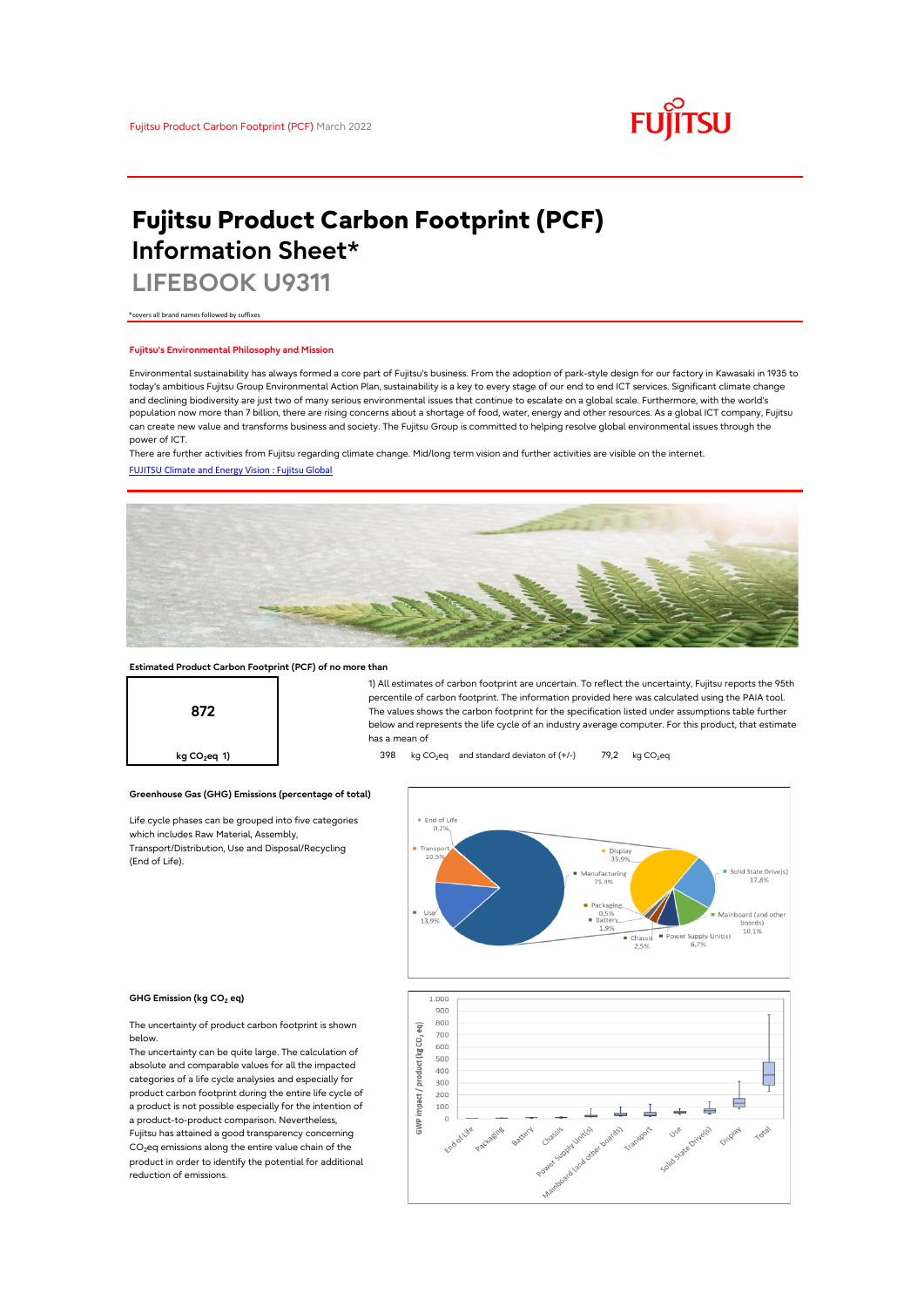

# **Fujitsu Product Carbon Footprint (PCF) Information Sheet\***

**LIFEBOOK U9311**

\*covers all brand names followed by suffixes

## **Fujitsu's Environmental Philosophy and Mission**

Environmental sustainability has always formed a core part of Fujitsu's business. From the adoption of park-style design for our factory in Kawasaki in 1935 to today's ambitious Fujitsu Group Environmental Action Plan, sustainability is a key to every stage of our end to end ICT services. Significant climate change and declining biodiversity are just two of many serious environmental issues that continue to escalate on a global scale. Furthermore, with the world's population now more than 7 billion, there are rising concerns about a shortage of food, water, energy and other resources. As a global ICT company, Fujitsu can create new value and transforms business and society. The Fujitsu Group is committed to helping resolve global environmental issues through the power of ICT.

[FUJITSU Climate and Energy Vision : Fujitsu Global](https://www.fujitsu.com/global/about/environment/climate-energy-vision/) There are further activities from Fujitsu regarding climate change. Mid/long term vision and further activities are visible on the internet.



## **Estimated Product Carbon Footprint (PCF) of no more than**



1) All estimates of carbon footprint are uncertain. To reflect the uncertainty, Fujitsu reports the 95th percentile of carbon footprint. The information provided here was calculated using the PAIA tool. The values shows the carbon footprint for the specification listed under assumptions table further below and represents the life cycle of an industry average computer. For this product, that estimate has a mean of

**kg CO<sub>2</sub>eq 1) a b** 398 kg CO<sub>2</sub>eq and standard deviaton of (+/-) 79,2 kg CO<sub>2</sub>eq



#### **GHG Emission (kg CO2 eq)**

(End of Life).

The uncertainty of product carbon footprint is shown below.

Life cycle phases can be grouped into five categories

**Greenhouse Gas (GHG) Emissions (percentage of total)**

which includes Raw Material, Assembly, Transport/Distribution, Use and Disposal/Recycling

The uncertainty can be quite large. The calculation of absolute and comparable values for all the impacted categories of a life cycle analysies and especially for product carbon footprint during the entire life cycle of a product is not possible especially for the intention of a product-to-product comparison. Nevertheless, Fujitsu has attained a good transparency concerning  $CO<sub>2</sub>$ eq emissions along the entire value chain of the product in order to identify the potential for additional reduction of emissions.